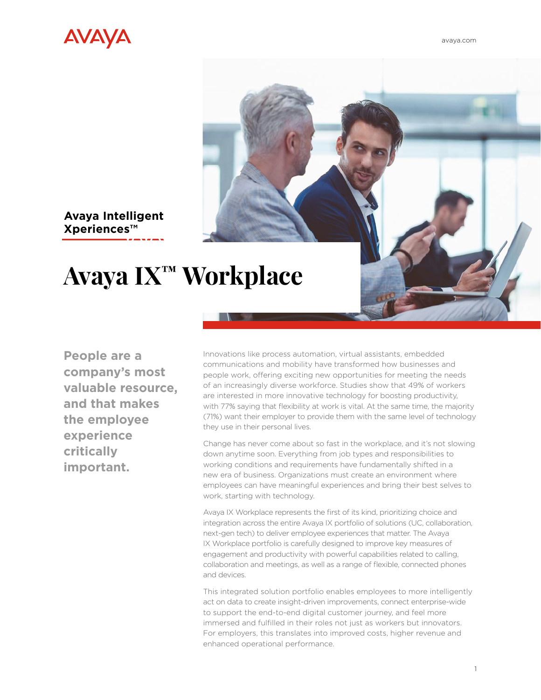

**Avaya Intelligent Xperiences™** 

# **Avaya IX™ Workplace**

**People are a company's most valuable resource, and that makes the employee experience critically important.** 

Innovations like process automation, virtual assistants, embedded communications and mobility have transformed how businesses and people work, offering exciting new opportunities for meeting the needs of an increasingly diverse workforce. Studies show that 49% of workers are interested in more innovative technology for boosting productivity, with 77% saying that flexibility at work is vital. At the same time, the majority (71%) want their employer to provide them with the same level of technology they use in their personal lives.

Change has never come about so fast in the workplace, and it's not slowing down anytime soon. Everything from job types and responsibilities to working conditions and requirements have fundamentally shifted in a new era of business. Organizations must create an environment where employees can have meaningful experiences and bring their best selves to work, starting with technology.

Avaya IX Workplace represents the first of its kind, prioritizing choice and integration across the entire Avaya IX portfolio of solutions (UC, collaboration, next-gen tech) to deliver employee experiences that matter. The Avaya IX Workplace portfolio is carefully designed to improve key measures of engagement and productivity with powerful capabilities related to calling, collaboration and meetings, as well as a range of flexible, connected phones and devices.

This integrated solution portfolio enables employees to more intelligently act on data to create insight-driven improvements, connect enterprise-wide to support the end-to-end digital customer journey, and feel more immersed and fulfilled in their roles not just as workers but innovators. For employers, this translates into improved costs, higher revenue and enhanced operational performance.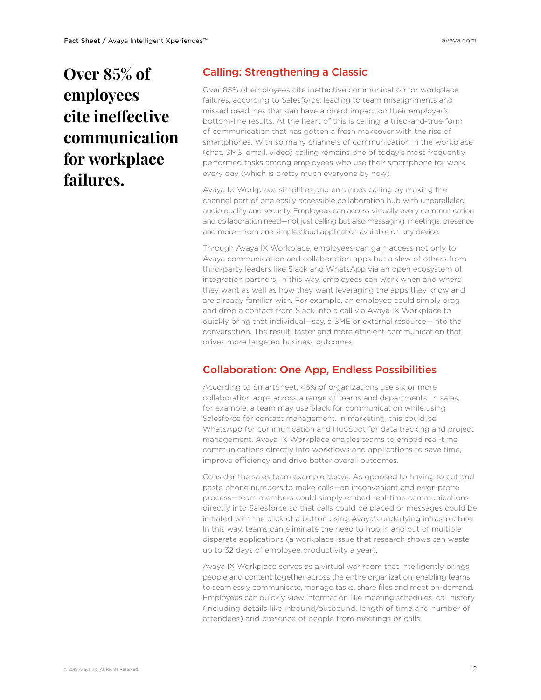## **Over 85% of employees cite ineffective communication for workplace failures.**

#### Calling: Strengthening a Classic

Over 85% of employees cite ineffective communication for workplace failures, according to Salesforce, leading to team misalignments and missed deadlines that can have a direct impact on their employer's bottom-line results. At the heart of this is calling, a tried-and-true form of communication that has gotten a fresh makeover with the rise of smartphones. With so many channels of communication in the workplace (chat, SMS, email, video) calling remains one of today's most frequently performed tasks among employees who use their smartphone for work every day (which is pretty much everyone by now).

Avaya IX Workplace simplifies and enhances calling by making the channel part of one easily accessible collaboration hub with unparalleled audio quality and security. Employees can access virtually every communication and collaboration need—not just calling but also messaging, meetings, presence and more—from one simple cloud application available on any device.

Through Avaya IX Workplace, employees can gain access not only to Avaya communication and collaboration apps but a slew of others from third-party leaders like Slack and WhatsApp via an open ecosystem of integration partners. In this way, employees can work when and where they want as well as how they want leveraging the apps they know and are already familiar with. For example, an employee could simply drag and drop a contact from Slack into a call via Avaya IX Workplace to quickly bring that individual—say, a SME or external resource—into the conversation. The result: faster and more efficient communication that drives more targeted business outcomes.

#### Collaboration: One App, Endless Possibilities

According to SmartSheet, 46% of organizations use six or more collaboration apps across a range of teams and departments. In sales, for example, a team may use Slack for communication while using Salesforce for contact management. In marketing, this could be WhatsApp for communication and HubSpot for data tracking and project management. Avaya IX Workplace enables teams to embed real-time communications directly into workflows and applications to save time, improve efficiency and drive better overall outcomes.

Consider the sales team example above. As opposed to having to cut and paste phone numbers to make calls—an inconvenient and error-prone process—team members could simply embed real-time communications directly into Salesforce so that calls could be placed or messages could be initiated with the click of a button using Avaya's underlying infrastructure. In this way, teams can eliminate the need to hop in and out of multiple disparate applications (a workplace issue that research shows can waste up to 32 days of employee productivity a year).

Avaya IX Workplace serves as a virtual war room that intelligently brings people and content together across the entire organization, enabling teams to seamlessly communicate, manage tasks, share files and meet on-demand. Employees can quickly view information like meeting schedules, call history (including details like inbound/outbound, length of time and number of attendees) and presence of people from meetings or calls.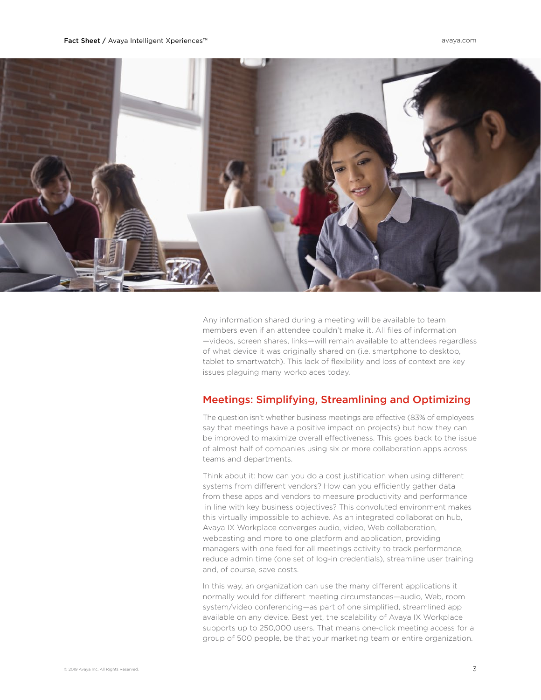

Any information shared during a meeting will be available to team members even if an attendee couldn't make it. All files of information —videos, screen shares, links—will remain available to attendees regardless of what device it was originally shared on (i.e. smartphone to desktop, tablet to smartwatch). This lack of flexibility and loss of context are key issues plaguing many workplaces today.

#### Meetings: Simplifying, Streamlining and Optimizing

The question isn't whether business meetings are effective (83% of employees say that meetings have a positive impact on projects) but how they can be improved to maximize overall effectiveness. This goes back to the issue of almost half of companies using six or more collaboration apps across teams and departments.

Think about it: how can you do a cost justification when using different systems from different vendors? How can you efficiently gather data from these apps and vendors to measure productivity and performance in line with key business objectives? This convoluted environment makes this virtually impossible to achieve. As an integrated collaboration hub, Avaya IX Workplace converges audio, video, Web collaboration, webcasting and more to one platform and application, providing managers with one feed for all meetings activity to track performance, reduce admin time (one set of log-in credentials), streamline user training and, of course, save costs.

In this way, an organization can use the many different applications it normally would for different meeting circumstances—audio, Web, room system/video conferencing—as part of one simplified, streamlined app available on any device. Best yet, the scalability of Avaya IX Workplace supports up to 250,000 users. That means one-click meeting access for a group of 500 people, be that your marketing team or entire organization.